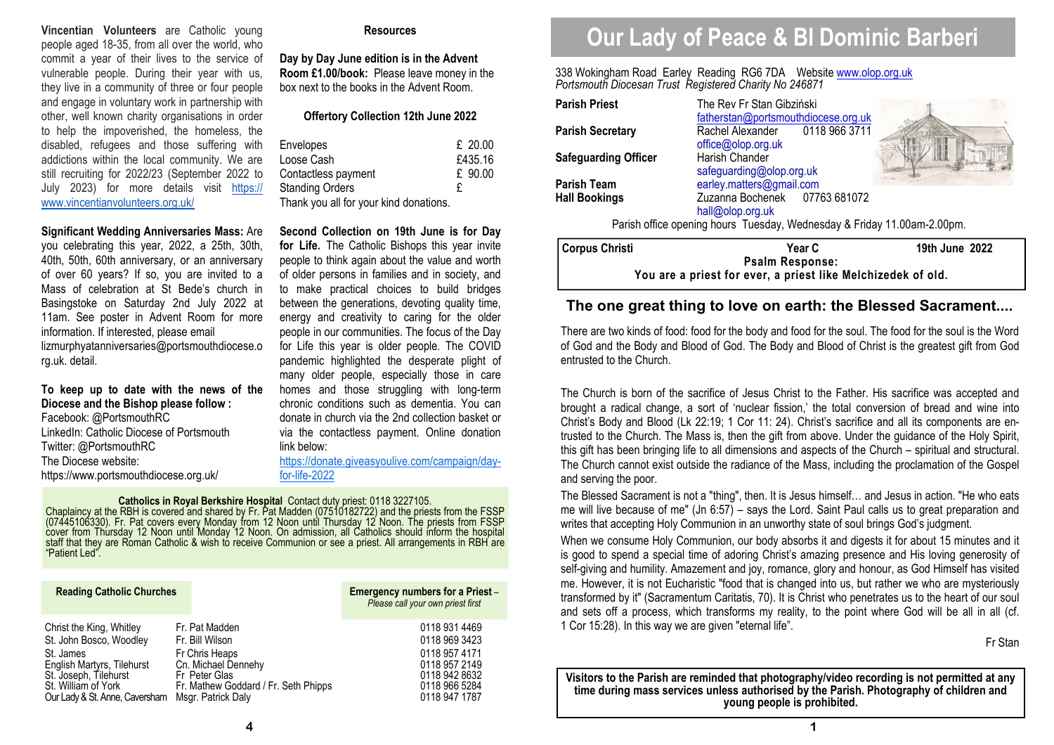**Vincentian Volunteers** are Catholic young people aged 18-35, from all over the world, who commit a year of their lives to the service of vulnerable people. During their year with us, they live in a community of three or four people and engage in voluntary work in partnership with other, well known charity organisations in order to help the impoverished, the homeless, the disabled, refugees and those suffering with addictions within the local community. We are still recruiting for 2022/23 (September 2022 to July 2023) for more details visit https:// www.vincentianvolunteers.org.uk/

**Significant Wedding Anniversaries Mass:** Are you celebrating this year, 2022, a 25th, 30th, 40th, 50th, 60th anniversary, or an anniversary of over 60 years? If so, you are invited to a Mass of celebration at St Bede's church in Basingstoke on Saturday 2nd July 2022 at 11am. See poster in Advent Room for more information. If interested, please email lizmurphyatanniversaries@portsmouthdiocese.o rg.uk. detail.

# **To keep up to date with the news of the Diocese and the Bishop please follow :**

Facebook: @PortsmouthRC LinkedIn: Catholic Diocese of Portsmouth Twitter: @PortsmouthRC The Diocese website: https://www.portsmouthdiocese.org.uk/

#### **Resources**

**Day by Day June edition is in the Advent Room £1.00/book:** Please leave money in the box next to the books in the Advent Room.

#### **Offertory Collection 12th June 2022**

| Envelopes<br>Loose Cash                | $£$ 20.00<br>£435.16 |
|----------------------------------------|----------------------|
| Contactless payment                    | £ 90.00              |
| <b>Standing Orders</b>                 | £                    |
| Thank you all for your kind donations. |                      |

**Second Collection on 19th June is for Day for Life.** The Catholic Bishops this year invite people to think again about the value and worth of older persons in families and in society, and to make practical choices to build bridges between the generations, devoting quality time, energy and creativity to caring for the older people in our communities. The focus of the Day for Life this year is older people. The COVID pandemic highlighted the desperate plight of many older people, especially those in care homes and those struggling with long-term chronic conditions such as dementia. You can donate in church via the 2nd collection basket or via the contactless payment. Online donation link below:

https://donate.giveasyoulive.com/campaign/dayfor-life-2022

# **Catholics in Royal Berkshire Hospital** Contact duty priest: 0118 3227105.<br>Chaplaincy at the RBH is covered and shared by Fr. Pat Madden (07510182722) and the priests from the FSSP (07445106330). Fr. Pat covers every Monda

| <b>Reading Catholic Churches</b>                                                                                                                                                 |                                                                                                                                                           | <b>Emergency numbers for a Priest-</b><br>Please call your own priest first                                         |
|----------------------------------------------------------------------------------------------------------------------------------------------------------------------------------|-----------------------------------------------------------------------------------------------------------------------------------------------------------|---------------------------------------------------------------------------------------------------------------------|
| Christ the King, Whitley<br>St. John Bosco, Woodley<br>St. James<br>English Martyrs, Tilehurst<br>St. Joseph, Tilehurst<br>St. William of York<br>Our Lady & St. Anne, Caversham | Fr. Pat Madden<br>Fr. Bill Wilson<br>Fr Chris Heaps<br>Cn. Michael Dennehy<br>Fr Peter Glas<br>Fr. Mathew Goddard / Fr. Seth Phipps<br>Msgr. Patrick Daly | 0118 931 4469<br>0118 969 3423<br>0118 957 4171<br>0118 957 2149<br>0118 942 8632<br>0118 966 5284<br>0118 947 1787 |

# **Our Lady of Peace & Bl Dominic Barberi**

338 Wokingham Road Earley Reading RG6 7DA Website www.olop.org.uk*Portsmouth Diocesan Trust Registered Charity No 246871* 

| <b>Parish Priest</b>                                                    | The Rev Fr Stan Gibziński<br>fatherstan@portsmouthdiocese.org.uk |                |  |  |
|-------------------------------------------------------------------------|------------------------------------------------------------------|----------------|--|--|
| <b>Parish Secretary</b>                                                 | Rachel Alexander 0118 966 3711<br>office@olop.org.uk             |                |  |  |
| <b>Safeguarding Officer</b>                                             | Harish Chander<br>safeguarding@olop.org.uk                       | H              |  |  |
| <b>Parish Team</b>                                                      | earley.matters@gmail.com                                         |                |  |  |
| <b>Hall Bookings</b>                                                    | Zuzanna Bochenek 07763 681072<br>hall@olop.org.uk                |                |  |  |
| Parish office opening hours Tuesday, Wednesday & Friday 11.00am-2.00pm. |                                                                  |                |  |  |
| <b>Corpus Christi</b>                                                   | Year C                                                           | 19th June 2022 |  |  |
| <b>Psalm Response:</b>                                                  |                                                                  |                |  |  |

**You are a priest for ever, a priest like Melchizedek of old.** 

# **The one great thing to love on earth: the Blessed Sacrament....**

There are two kinds of food: food for the body and food for the soul. The food for the soul is the Word of God and the Body and Blood of God. The Body and Blood of Christ is the greatest gift from God entrusted to the Church.

The Church is born of the sacrifice of Jesus Christ to the Father. His sacrifice was accepted and brought a radical change, a sort of 'nuclear fission,' the total conversion of bread and wine into Christ's Body and Blood (Lk 22:19; 1 Cor 11: 24). Christ's sacrifice and all its components are entrusted to the Church. The Mass is, then the gift from above. Under the guidance of the Holy Spirit, this gift has been bringing life to all dimensions and aspects of the Church – spiritual and structural. The Church cannot exist outside the radiance of the Mass, including the proclamation of the Gospel and serving the poor.

The Blessed Sacrament is not a "thing", then. It is Jesus himself… and Jesus in action. "He who eats me will live because of me" (Jn 6:57) – says the Lord. Saint Paul calls us to great preparation and writes that accepting Holy Communion in an unworthy state of soul brings God's judgment.

When we consume Holy Communion, our body absorbs it and digests it for about 15 minutes and it is good to spend a special time of adoring Christ's amazing presence and His loving generosity of self-giving and humility. Amazement and joy, romance, glory and honour, as God Himself has visited me. However, it is not Eucharistic "food that is changed into us, but rather we who are mysteriously transformed by it" (Sacramentum Caritatis, 70). It is Christ who penetrates us to the heart of our soul and sets off a process, which transforms my reality, to the point where God will be all in all (cf. 1 Cor 15:28). In this way we are given "eternal life".

Fr Stan

**Visitors to the Parish are reminded that photography/video recording is not permitted at any time during mass services unless authorised by the Parish. Photography of children and young people is prohibited.**